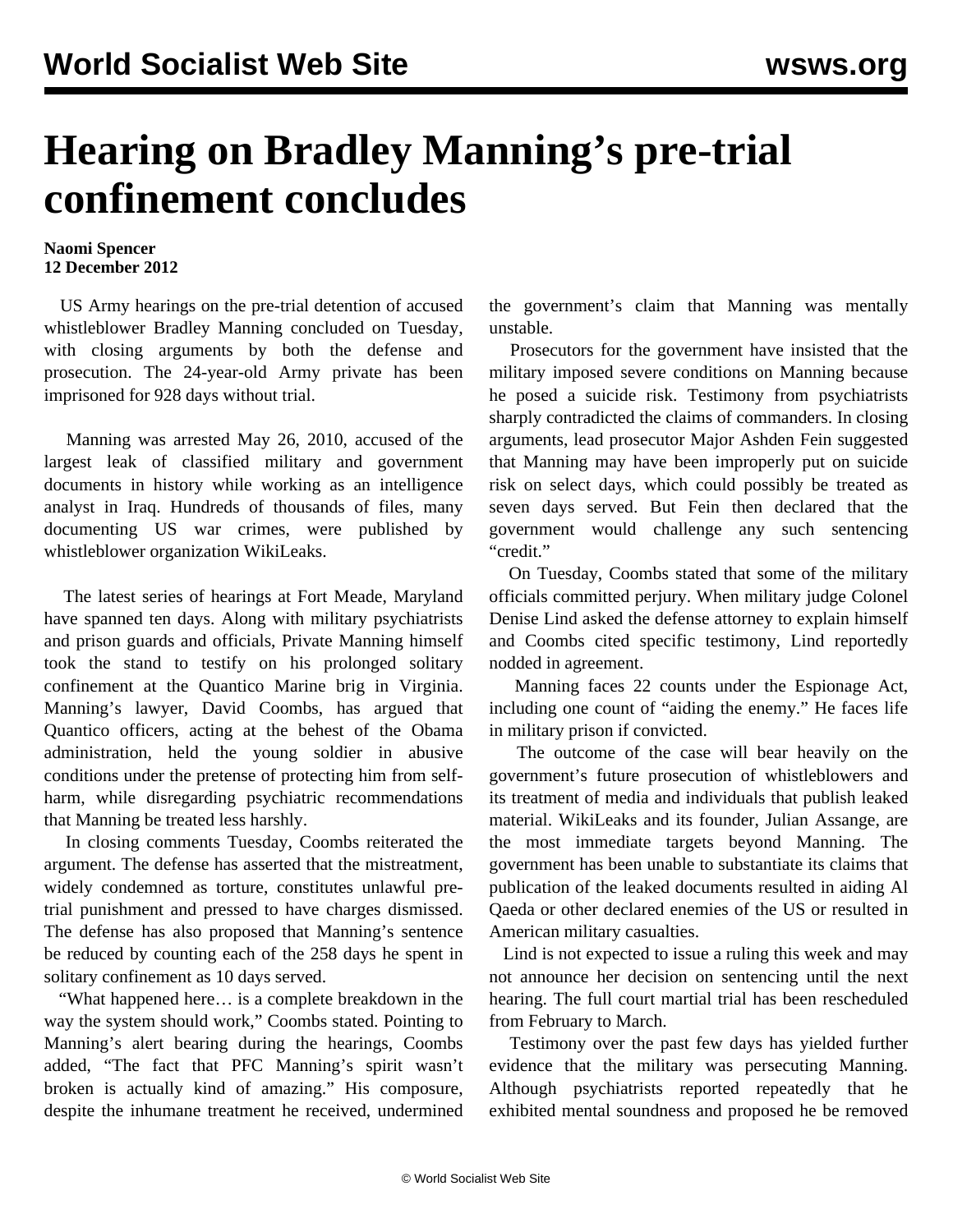## **Hearing on Bradley Manning's pre-trial confinement concludes**

## **Naomi Spencer 12 December 2012**

 US Army hearings on the pre-trial detention of accused whistleblower Bradley Manning concluded on Tuesday, with closing arguments by both the defense and prosecution. The 24-year-old Army private has been imprisoned for 928 days without trial.

 Manning was arrested May 26, 2010, accused of the largest leak of classified military and government documents in history while working as an intelligence analyst in Iraq. Hundreds of thousands of files, many documenting US war crimes, were published by whistleblower organization WikiLeaks.

 The latest series of hearings at Fort Meade, Maryland have spanned ten days. Along with [military psychiatrists](/en/articles/2012/nov2012/psyc-n30.shtml) and prison [guards and officials](/en/articles/2012/nov2012/mann-n28.shtml), Private Manning himself [took the stand](/en/articles/2012/dec2012/mann-d01.shtml) to testify on his prolonged solitary confinement at the Quantico Marine brig in Virginia. Manning's lawyer, David Coombs, has argued that Quantico officers, acting at the behest of the Obama administration, held the young soldier in abusive conditions under the pretense of protecting him from selfharm, while disregarding psychiatric recommendations that Manning be treated less harshly.

 In closing comments Tuesday, Coombs reiterated the argument. The defense has asserted that the mistreatment, widely condemned as torture, constitutes unlawful pretrial punishment and pressed to have charges dismissed. The defense has also proposed that Manning's sentence be reduced by counting each of the 258 days he spent in solitary confinement as 10 days served.

 "What happened here… is a complete breakdown in the way the system should work," Coombs stated. Pointing to Manning's alert bearing during the hearings, Coombs added, "The fact that PFC Manning's spirit wasn't broken is actually kind of amazing." His composure, despite the inhumane treatment he received, undermined

the government's claim that Manning was mentally unstable.

 Prosecutors for the government have insisted that the military imposed severe conditions on Manning because he posed a suicide risk. Testimony from psychiatrists sharply contradicted the claims of commanders. In closing arguments, lead prosecutor Major Ashden Fein suggested that Manning may have been improperly put on suicide risk on select days, which could possibly be treated as seven days served. But Fein then declared that the government would challenge any such sentencing "credit."

 On Tuesday, Coombs stated that some of the military officials committed perjury. When military judge Colonel Denise Lind asked the defense attorney to explain himself and Coombs cited specific testimony, Lind reportedly nodded in agreement.

 Manning faces 22 counts under the Espionage Act, including one count of "aiding the enemy." He faces life in military prison if convicted.

 The outcome of the case will bear heavily on the government's future prosecution of whistleblowers and its treatment of media and individuals that publish leaked material. WikiLeaks and its founder, Julian Assange, are the most immediate targets beyond Manning. The government has been unable to substantiate its claims that publication of the leaked documents resulted in aiding Al Qaeda or other declared enemies of the US or resulted in American military casualties.

 Lind is not expected to issue a ruling this week and may not announce her decision on sentencing until the next hearing. The full court martial trial has been rescheduled from February to March.

 Testimony over the past few days has yielded further evidence that the military was persecuting Manning. Although psychiatrists reported repeatedly that he exhibited mental soundness and proposed he be removed